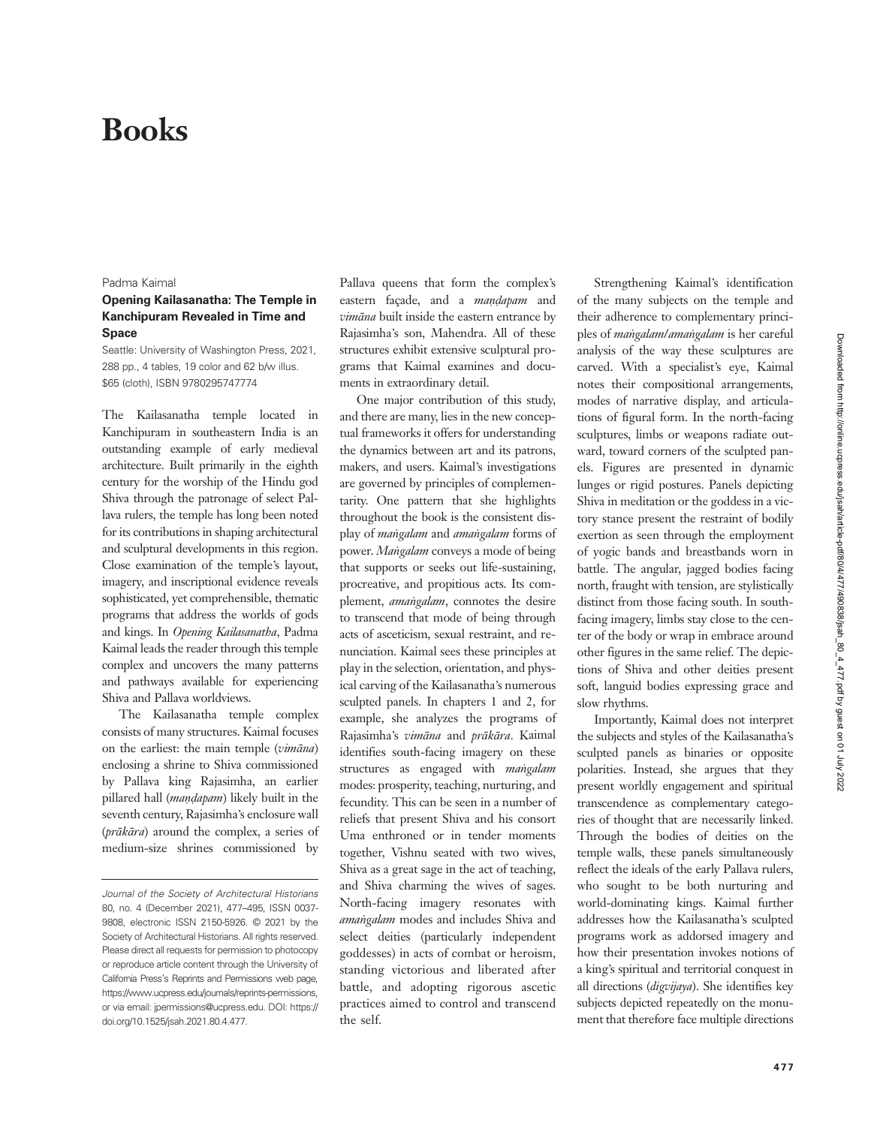# Books

#### Padma Kaimal

### Opening Kailasanatha: The Temple in Kanchipuram Revealed in Time and Space

Seattle: University of Washington Press, 2021, 288 pp., 4 tables, 19 color and 62 b/w illus. \$65 (cloth), ISBN 9780295747774

The Kailasanatha temple located in Kanchipuram in southeastern India is an outstanding example of early medieval architecture. Built primarily in the eighth century for the worship of the Hindu god Shiva through the patronage of select Pallava rulers, the temple has long been noted for its contributions in shaping architectural and sculptural developments in this region. Close examination of the temple's layout, imagery, and inscriptional evidence reveals sophisticated, yet comprehensible, thematic programs that address the worlds of gods and kings. In Opening Kailasanatha, Padma Kaimal leads the reader through this temple complex and uncovers the many patterns and pathways available for experiencing Shiva and Pallava worldviews.

The Kailasanatha temple complex consists of many structures. Kaimal focuses on the earliest: the main temple (vimāna) enclosing a shrine to Shiva commissioned by Pallava king Rajasimha, an earlier pillared hall (maṇḍapam) likely built in the seventh century, Rajasimha's enclosure wall (prākāra) around the complex, a series of medium-size shrines commissioned by

Pallava queens that form the complex's eastern façade, and a maṇḍapam and vimāna built inside the eastern entrance by Rajasimha's son, Mahendra. All of these structures exhibit extensive sculptural programs that Kaimal examines and documents in extraordinary detail.

One major contribution of this study, and there are many, lies in the new conceptual frameworks it offers for understanding the dynamics between art and its patrons, makers, and users. Kaimal's investigations are governed by principles of complementarity. One pattern that she highlights throughout the book is the consistent display of maṅgalam and amaṅgalam forms of power. Maṅgalam conveys a mode of being that supports or seeks out life-sustaining, procreative, and propitious acts. Its complement, *amangalam*, connotes the desire to transcend that mode of being through acts of asceticism, sexual restraint, and renunciation. Kaimal sees these principles at play in the selection, orientation, and physical carving of the Kailasanatha's numerous sculpted panels. In chapters 1 and 2, for example, she analyzes the programs of Rajasimha's vimāna and prākāra. Kaimal identifies south-facing imagery on these structures as engaged with *mangalam* modes: prosperity, teaching, nurturing, and fecundity. This can be seen in a number of reliefs that present Shiva and his consort Uma enthroned or in tender moments together, Vishnu seated with two wives, Shiva as a great sage in the act of teaching, and Shiva charming the wives of sages. North-facing imagery resonates with amaṅgalam modes and includes Shiva and select deities (particularly independent goddesses) in acts of combat or heroism, standing victorious and liberated after battle, and adopting rigorous ascetic practices aimed to control and transcend the self.

Strengthening Kaimal's identification of the many subjects on the temple and their adherence to complementary principles of maṅgalam/amaṅgalam is her careful analysis of the way these sculptures are carved. With a specialist's eye, Kaimal notes their compositional arrangements, modes of narrative display, and articulations of figural form. In the north-facing sculptures, limbs or weapons radiate outward, toward corners of the sculpted panels. Figures are presented in dynamic lunges or rigid postures. Panels depicting Shiva in meditation or the goddess in a victory stance present the restraint of bodily exertion as seen through the employment of yogic bands and breastbands worn in battle. The angular, jagged bodies facing north, fraught with tension, are stylistically distinct from those facing south. In southfacing imagery, limbs stay close to the center of the body or wrap in embrace around other figures in the same relief. The depictions of Shiva and other deities present soft, languid bodies expressing grace and slow rhythms.

Importantly, Kaimal does not interpret the subjects and styles of the Kailasanatha's sculpted panels as binaries or opposite polarities. Instead, she argues that they present worldly engagement and spiritual transcendence as complementary categories of thought that are necessarily linked. Through the bodies of deities on the temple walls, these panels simultaneously reflect the ideals of the early Pallava rulers, who sought to be both nurturing and world-dominating kings. Kaimal further addresses how the Kailasanatha's sculpted programs work as addorsed imagery and how their presentation invokes notions of a king's spiritual and territorial conquest in all directions (digvijaya). She identifies key subjects depicted repeatedly on the monument that therefore face multiple directions

Journal of the Society of Architectural Historians 80, no. 4 (December 2021), 477–495, ISSN 0037- 9808, electronic ISSN 2150-5926. © 2021 by the Society of Architectural Historians. All rights reserved. Please direct all requests for permission to photocopy or reproduce article content through the University of California Press's Reprints and Permissions web page, [https://www.ucpress.edu/journals/reprints-permissions,](https://www.ucpress.edu/journals/reprints-permissions) or via email: [jpermissions@ucpress.edu.](mailto:jpermissions@ucpress.edu) DOI: [https://](https://doi.org/10.1525/jsah.2021.80.4.477) [doi.org/10.1525/jsah.2021.80.4.477.](https://doi.org/10.1525/jsah.2021.80.4.477)